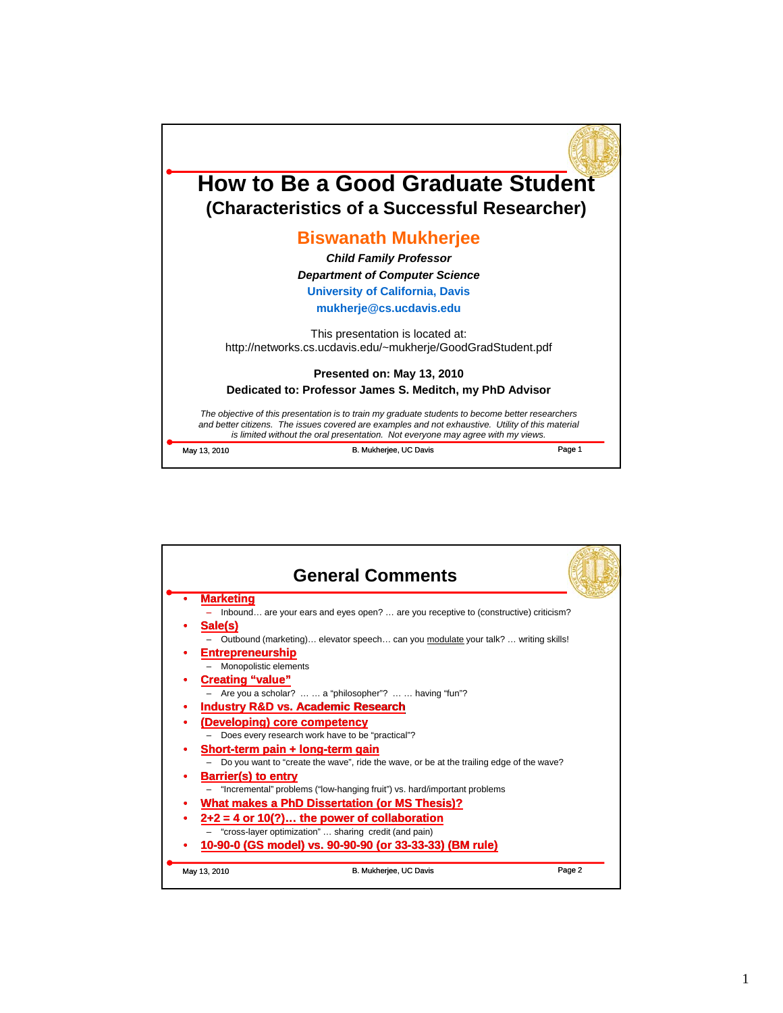

|                                               | <b>General Comments</b>                                                                  |  |  |  |  |  |
|-----------------------------------------------|------------------------------------------------------------------------------------------|--|--|--|--|--|
|                                               | <b>Marketing</b>                                                                         |  |  |  |  |  |
|                                               | Inbound are your ears and eyes open?  are you receptive to (constructive) criticism?     |  |  |  |  |  |
|                                               | Sale(s)                                                                                  |  |  |  |  |  |
|                                               | Outbound (marketing) elevator speech can you modulate your talk?  writing skills!        |  |  |  |  |  |
|                                               | <b>Entrepreneurship</b>                                                                  |  |  |  |  |  |
|                                               | Monopolistic elements                                                                    |  |  |  |  |  |
|                                               | <b>Creating "value"</b>                                                                  |  |  |  |  |  |
|                                               | Are you a scholar?   a "philosopher"?   having "fun"?                                    |  |  |  |  |  |
|                                               | <b>Industry R&amp;D vs. Academic Research</b>                                            |  |  |  |  |  |
|                                               | (Developing) core competency                                                             |  |  |  |  |  |
|                                               | Does every research work have to be "practical"?                                         |  |  |  |  |  |
|                                               | Short-term pain + long-term gain                                                         |  |  |  |  |  |
|                                               | Do you want to "create the wave", ride the wave, or be at the trailing edge of the wave? |  |  |  |  |  |
|                                               | <b>Barrier(s) to entry</b>                                                               |  |  |  |  |  |
|                                               | "Incremental" problems ("low-hanging fruit") vs. hard/important problems                 |  |  |  |  |  |
| What makes a PhD Dissertation (or MS Thesis)? |                                                                                          |  |  |  |  |  |
|                                               | $2+2 = 4$ or 10(?) the power of collaboration                                            |  |  |  |  |  |
|                                               | "cross-layer optimization"  sharing credit (and pain)                                    |  |  |  |  |  |
|                                               | 10-90-0 (GS model) vs. 90-90-90 (or 33-33-33) (BM rule)                                  |  |  |  |  |  |
|                                               | Page 2<br>B. Mukherjee, UC Davis<br>May 13, 2010                                         |  |  |  |  |  |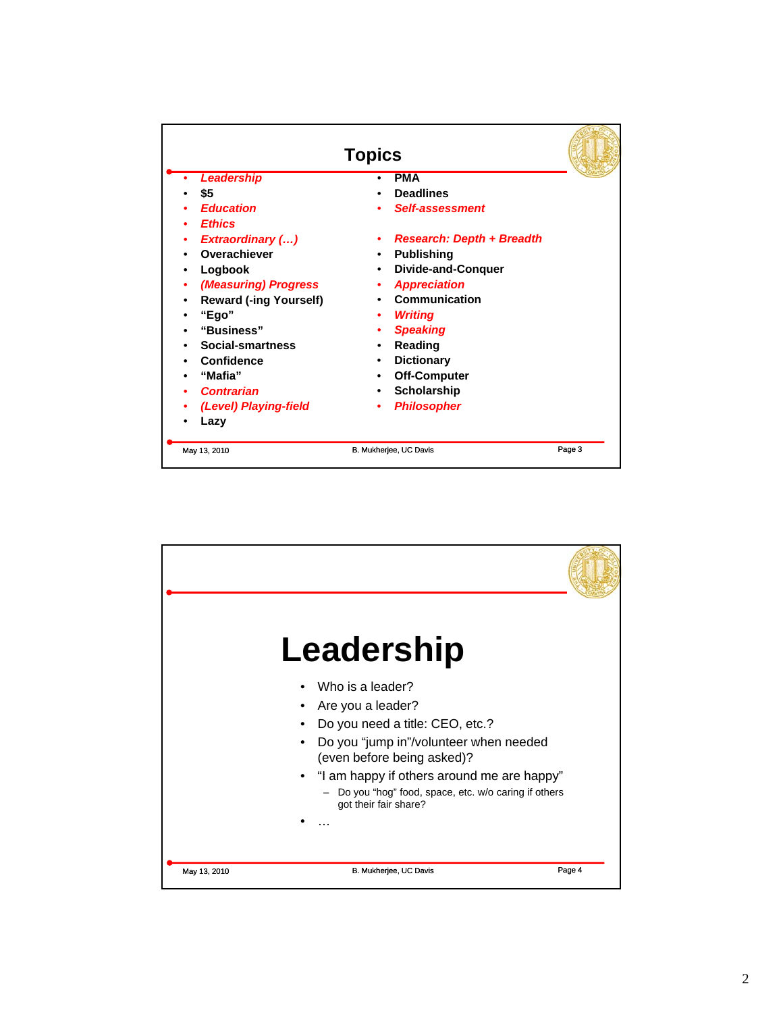| <b>Topics</b> |                               |   |                                  |        |
|---------------|-------------------------------|---|----------------------------------|--------|
|               | <b>Leadership</b>             |   | <b>PMA</b>                       |        |
|               | \$5                           |   | <b>Deadlines</b>                 |        |
|               | <b>Education</b>              |   | <b>Self-assessment</b>           |        |
|               | <b>Ethics</b>                 |   |                                  |        |
|               | <b>Extraordinary ()</b>       |   | <b>Research: Depth + Breadth</b> |        |
|               | Overachiever                  |   | <b>Publishing</b>                |        |
|               | Logbook                       | ٠ | <b>Divide-and-Conquer</b>        |        |
|               | (Measuring) Progress          |   | <b>Appreciation</b>              |        |
|               | <b>Reward (-ing Yourself)</b> |   | Communication                    |        |
|               | "Ego"                         |   | <b>Writing</b>                   |        |
|               | "Business"                    |   | <b>Speaking</b>                  |        |
|               | Social-smartness              |   | Reading                          |        |
|               | Confidence                    |   | <b>Dictionary</b>                |        |
|               | "Mafia"                       |   | <b>Off-Computer</b>              |        |
|               | <b>Contrarian</b>             |   | <b>Scholarship</b>               |        |
|               | (Level) Playing-field         |   | <b>Philosopher</b>               |        |
|               | Lazy                          |   |                                  |        |
|               | May 13, 2010                  |   | B. Mukherjee, UC Davis           | Page 3 |

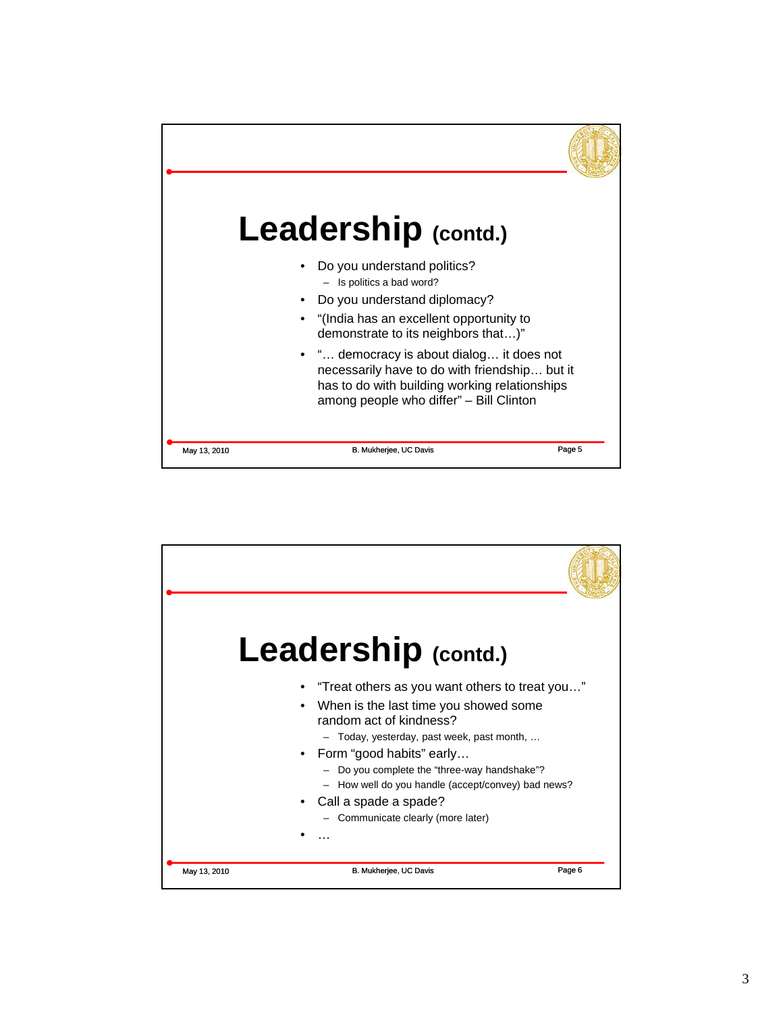

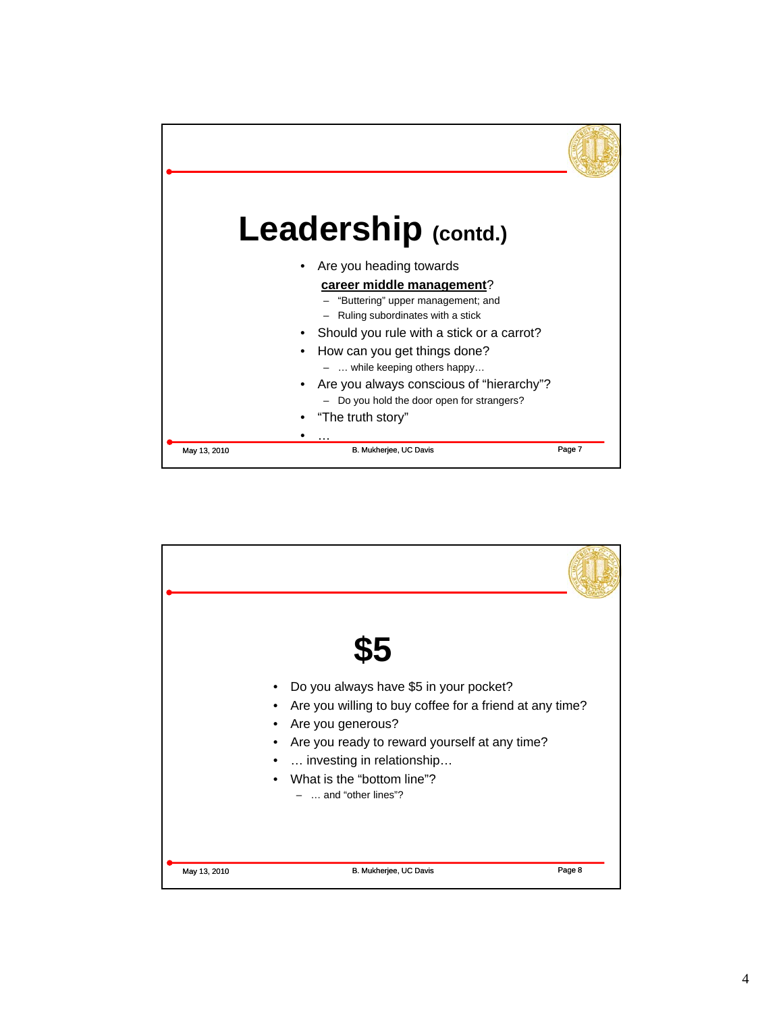

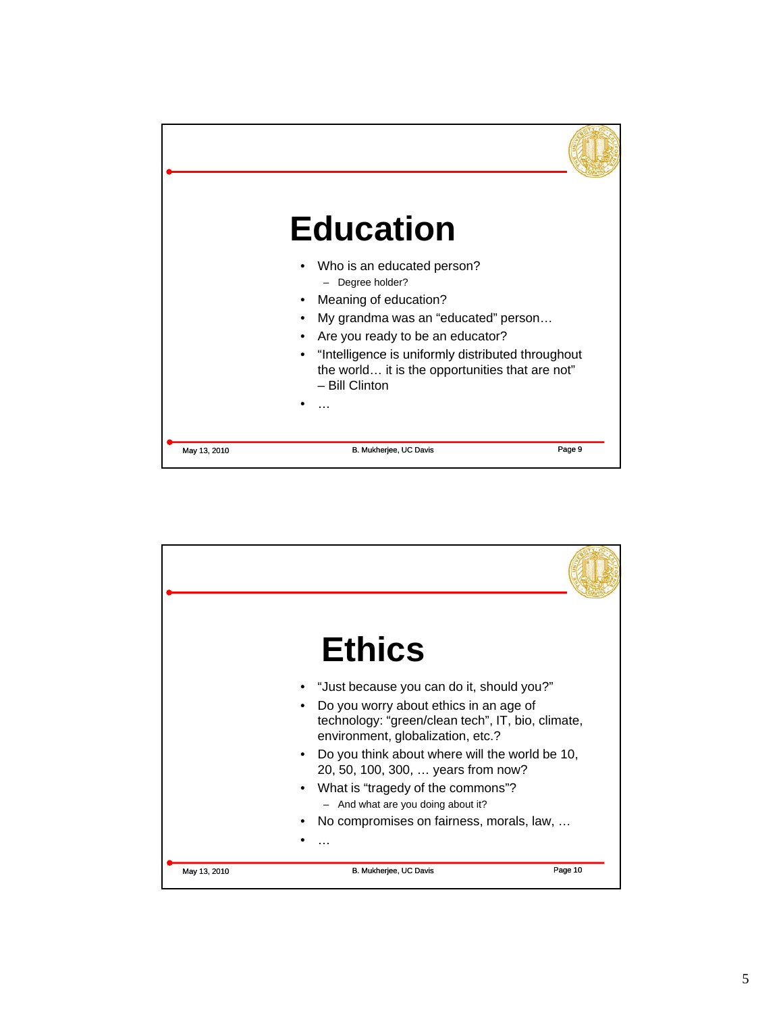

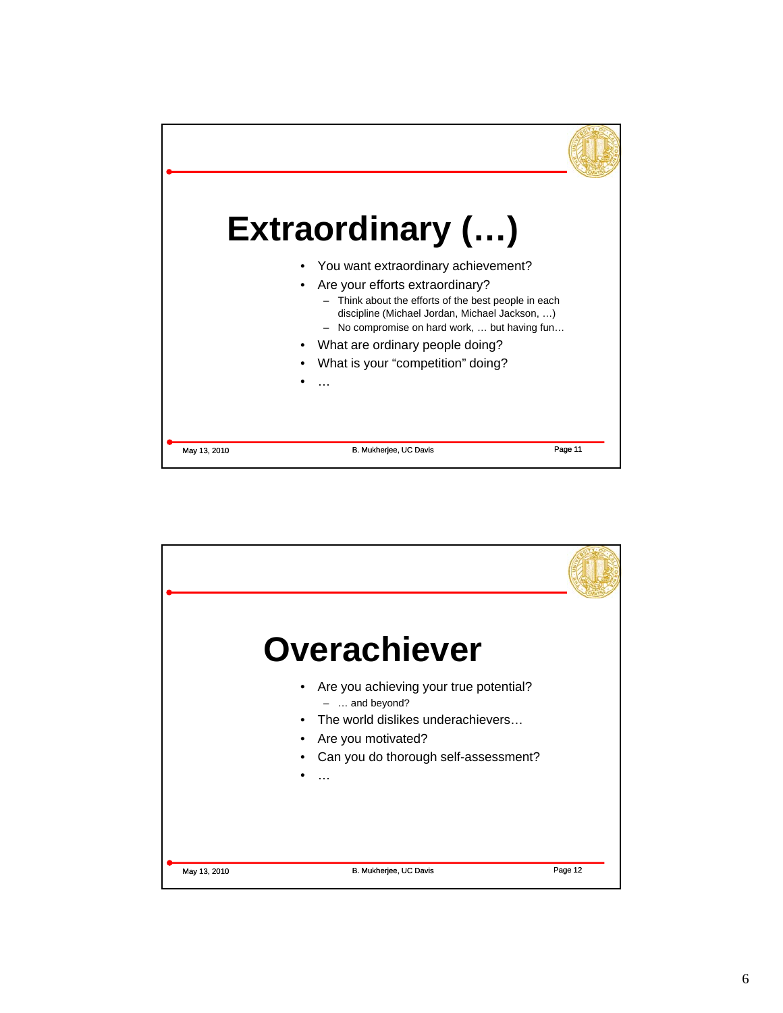

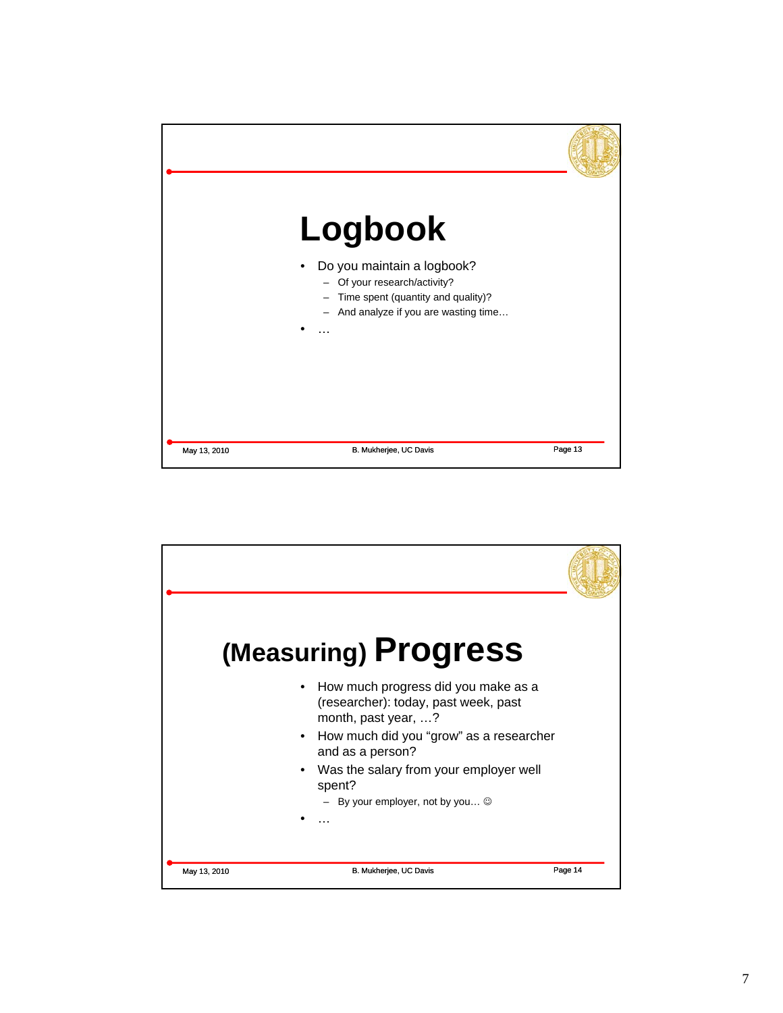

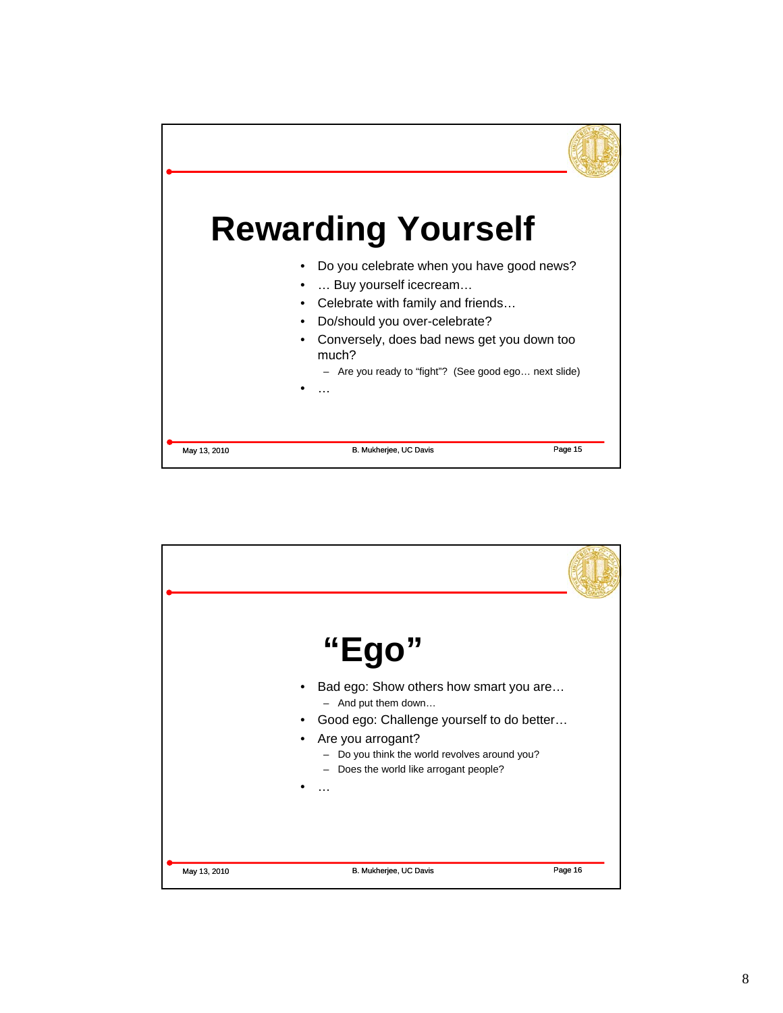

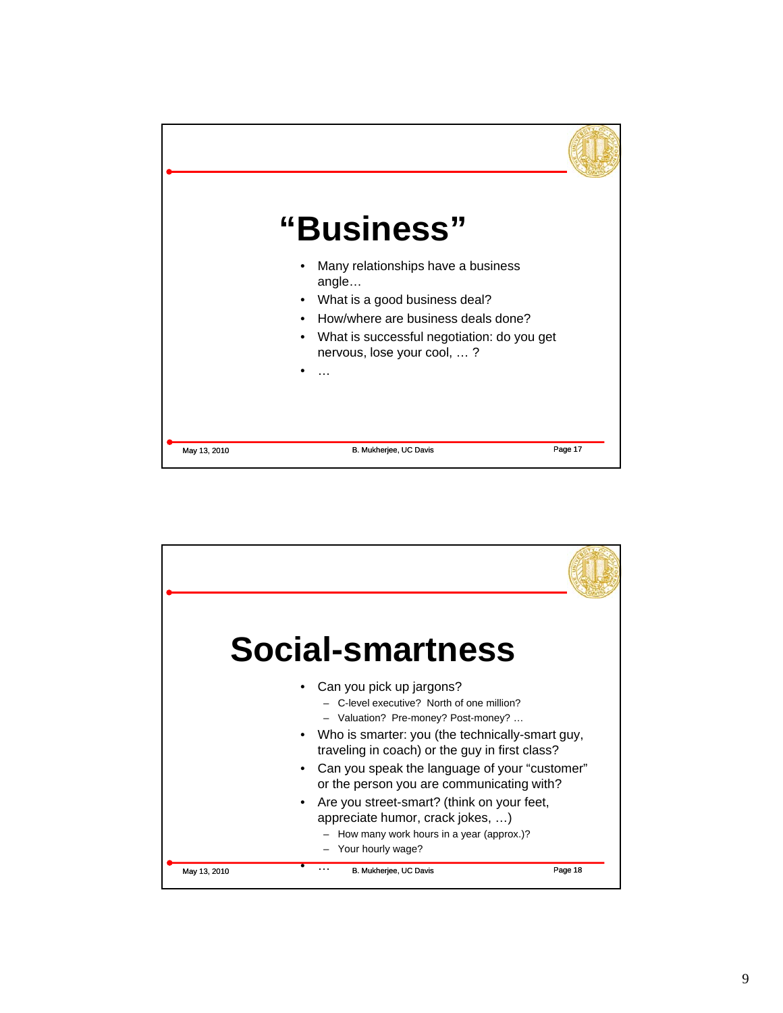

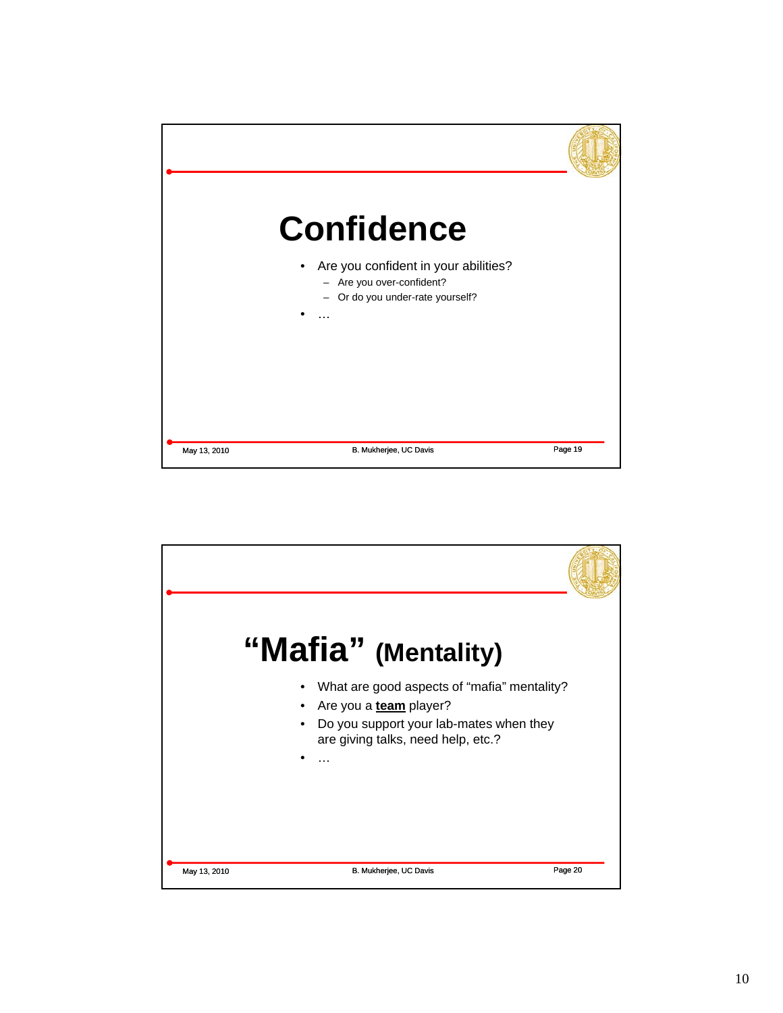

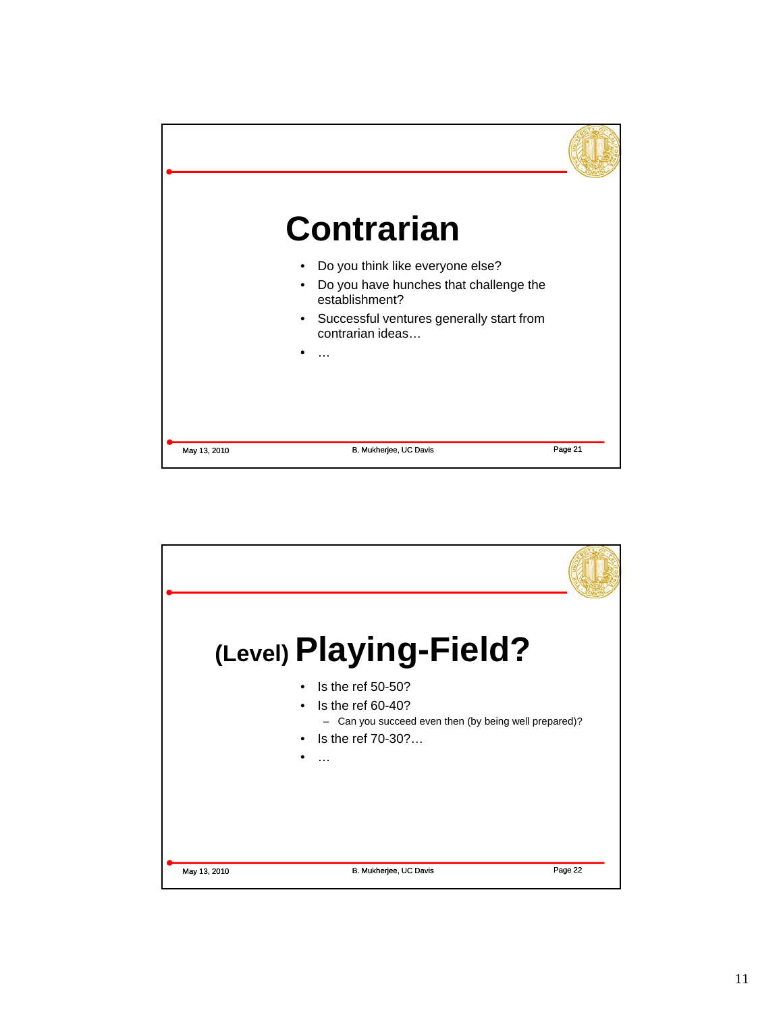

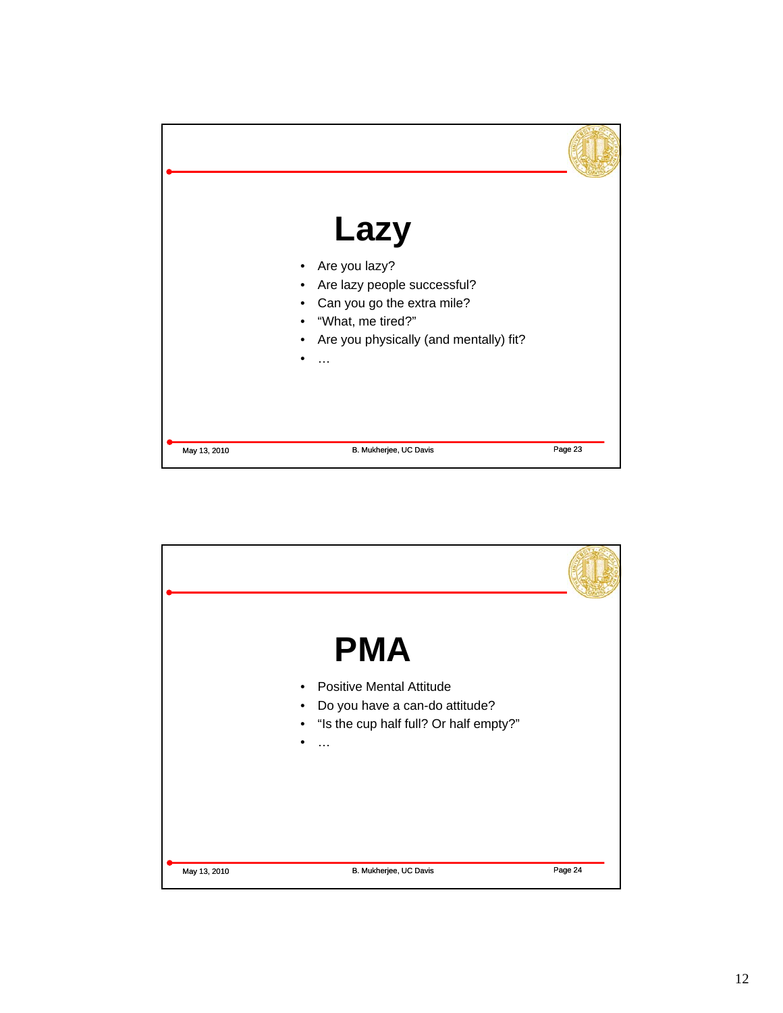

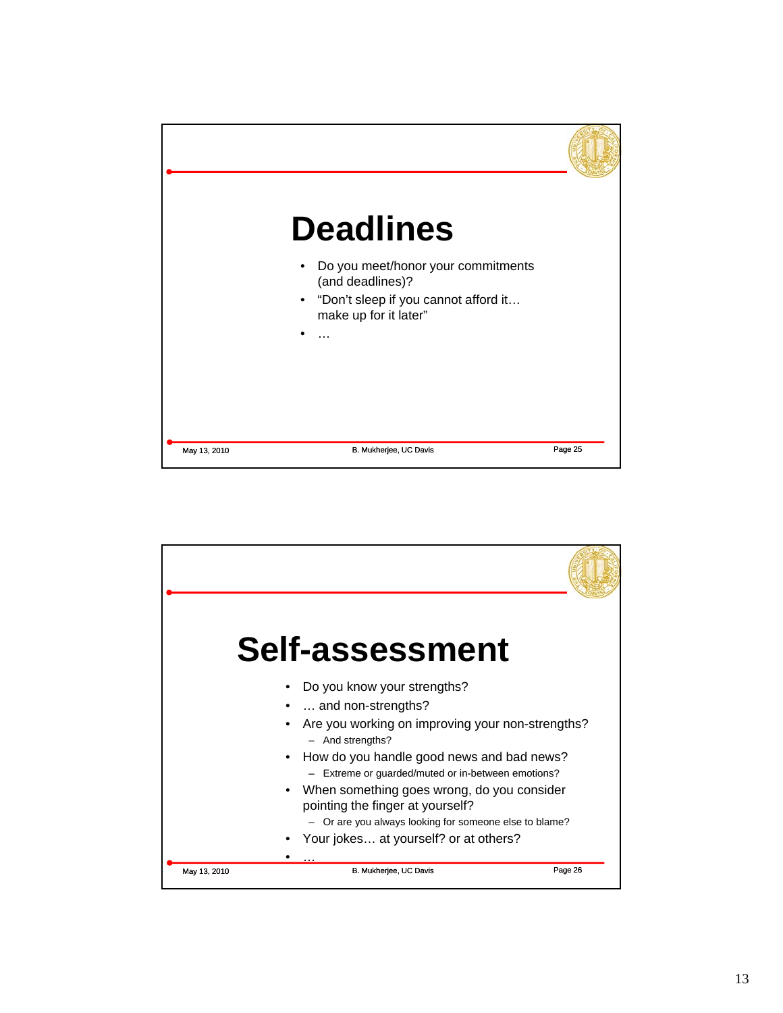

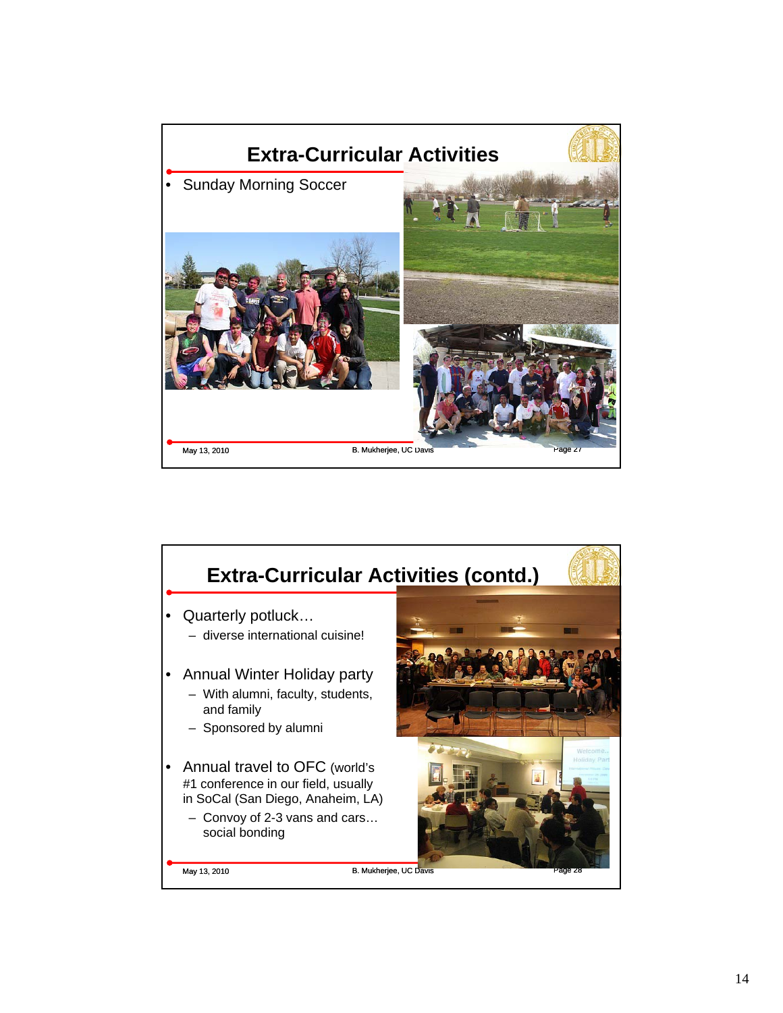

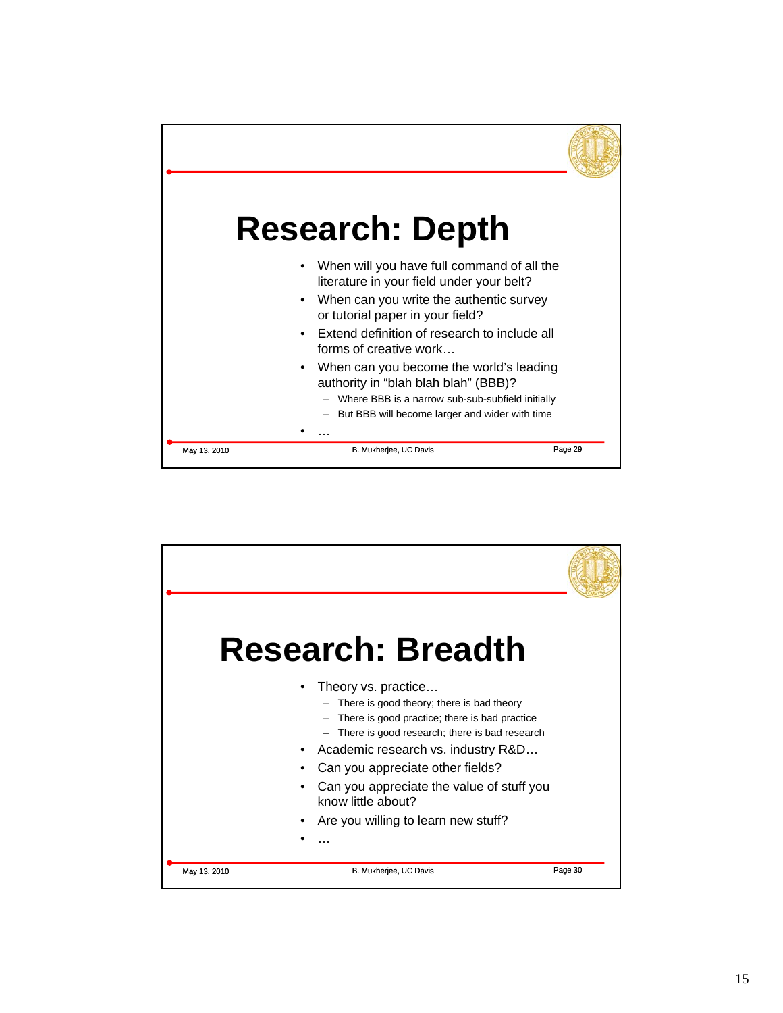

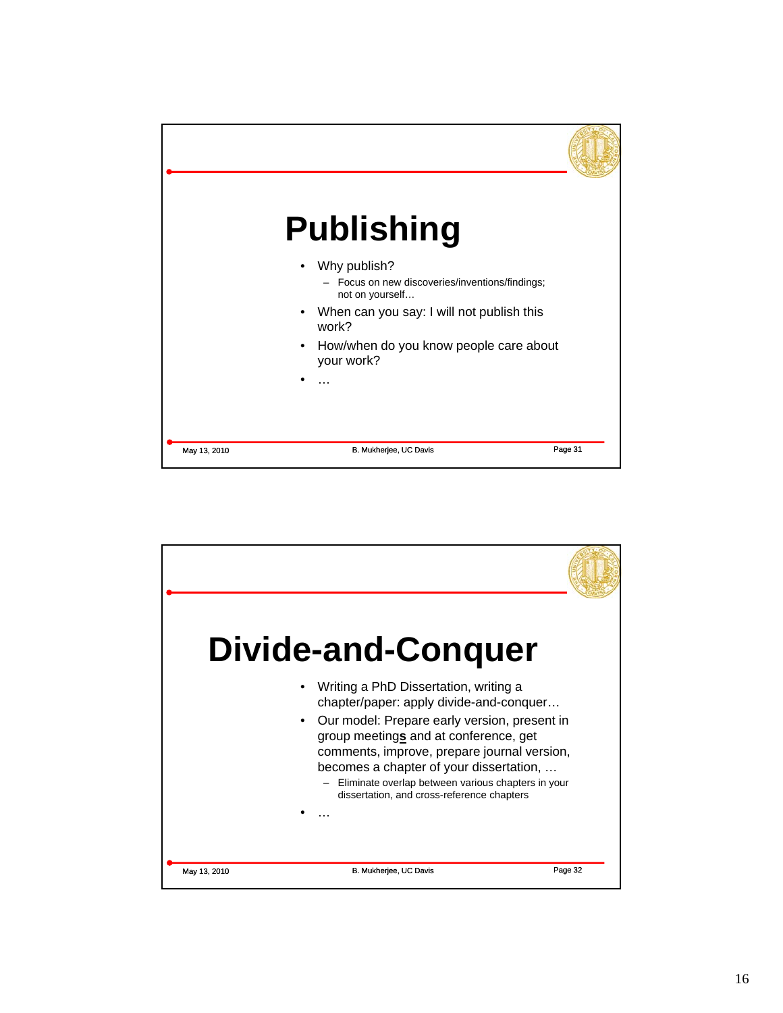

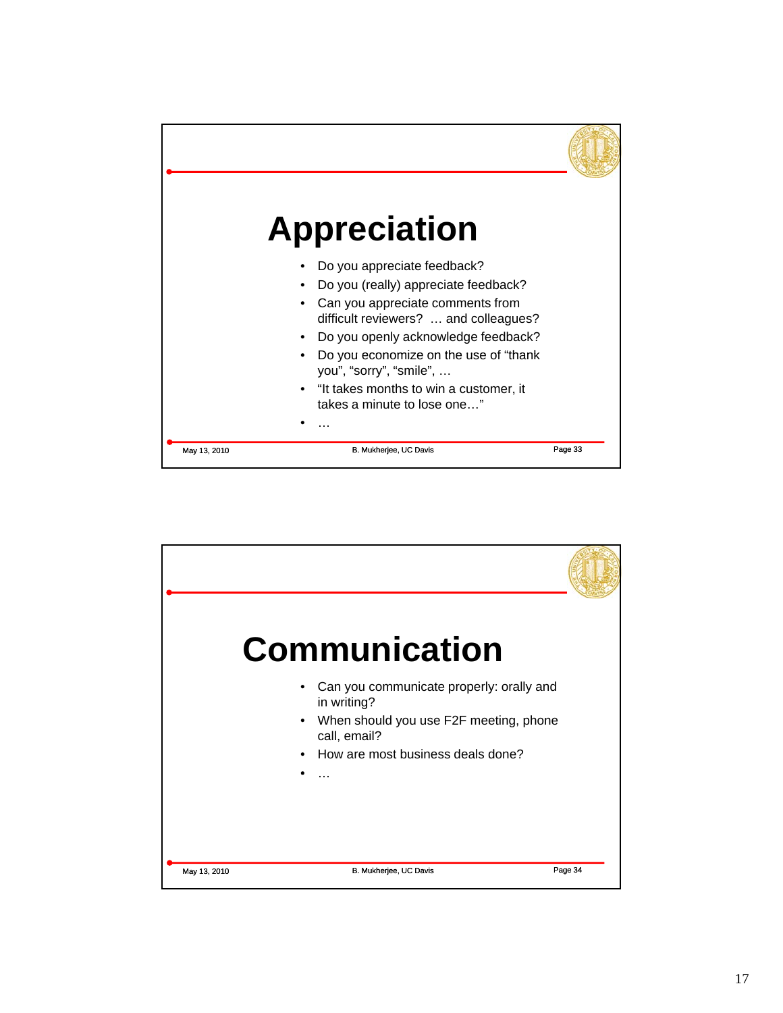

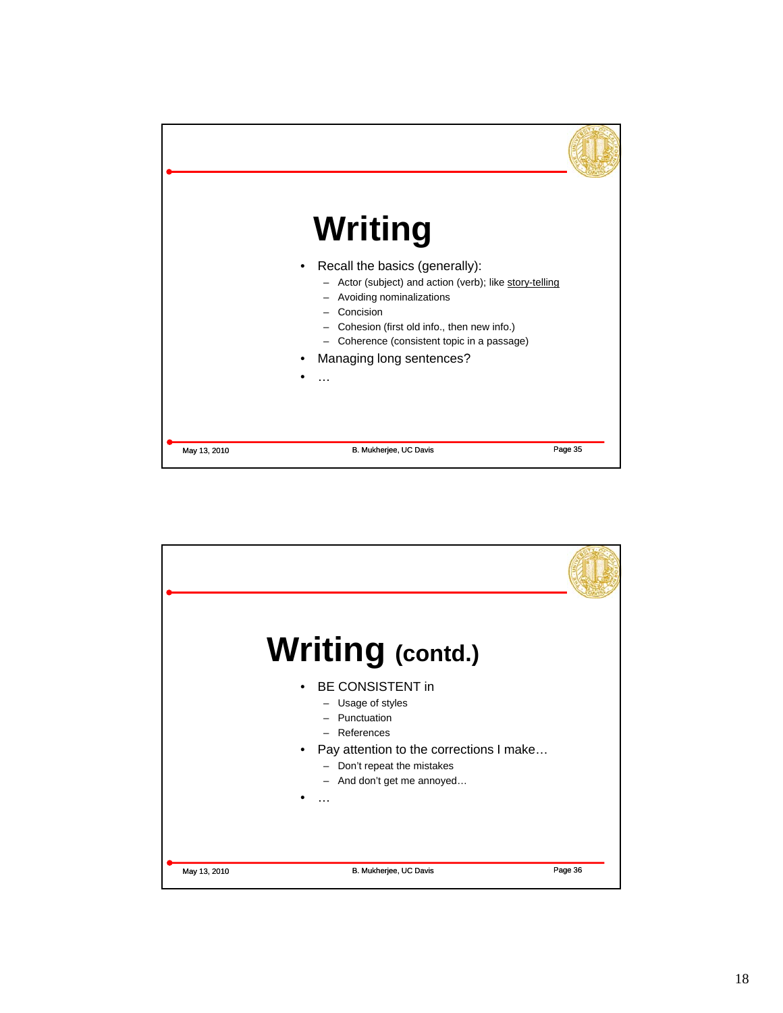

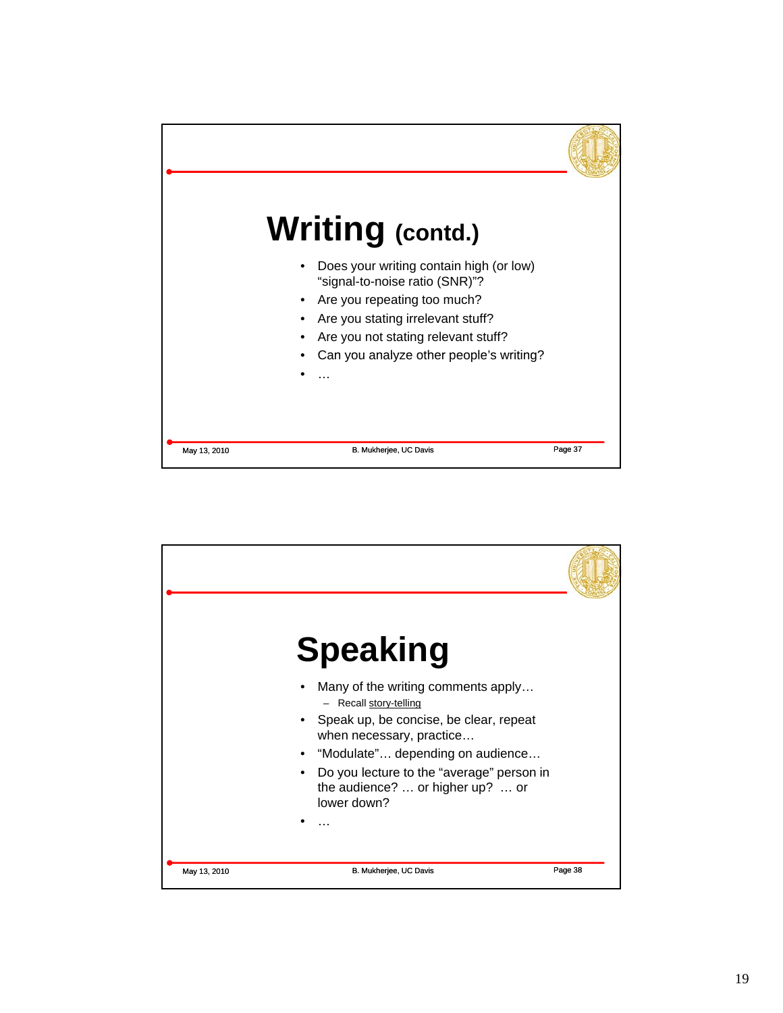

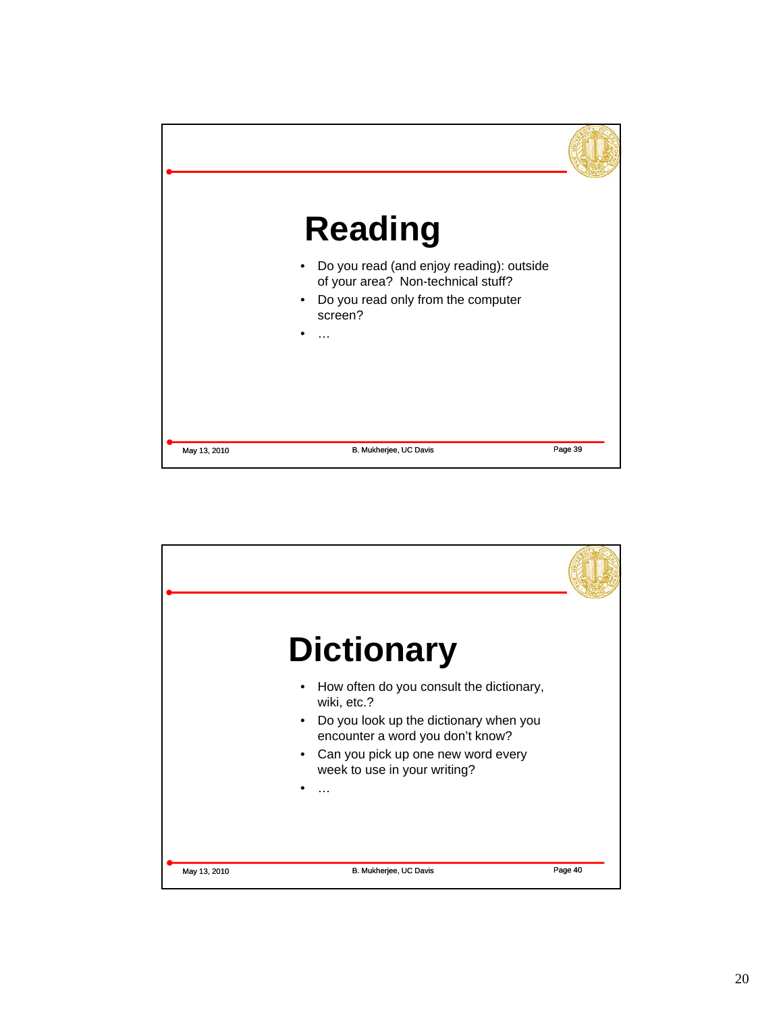

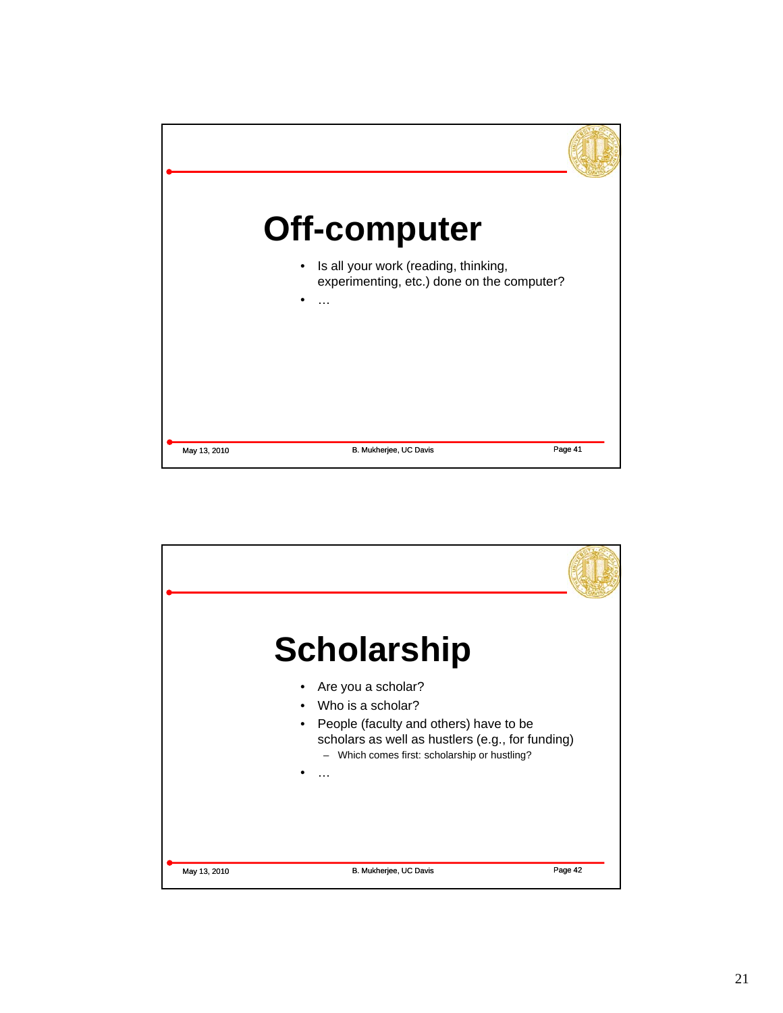